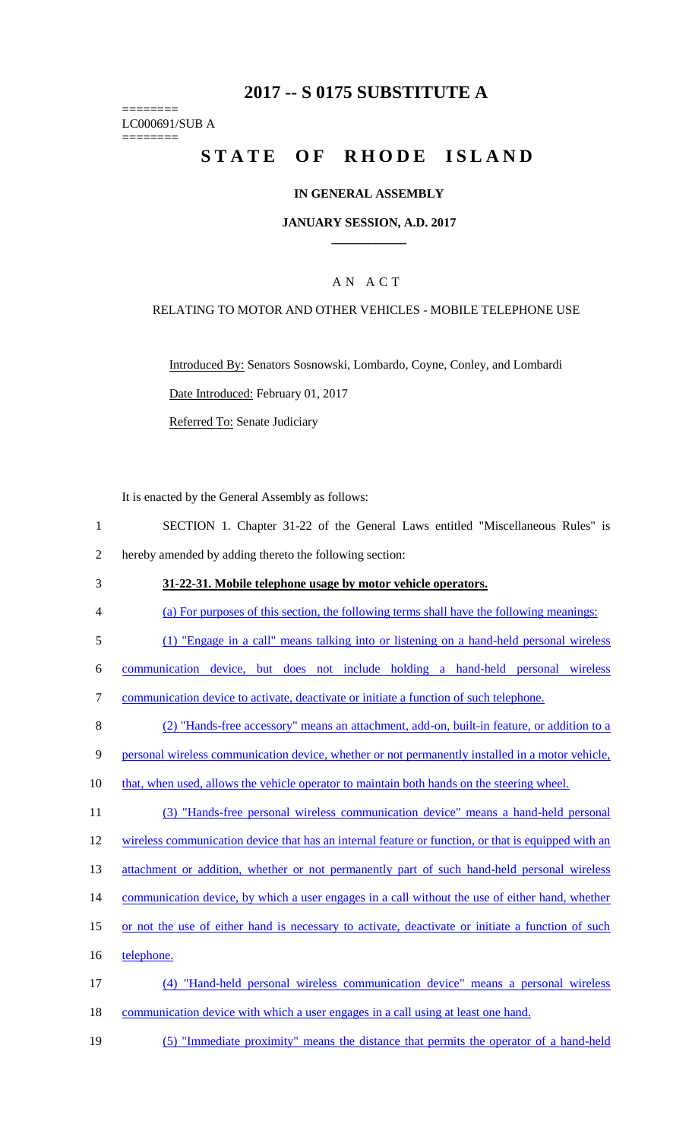# **2017 -- S 0175 SUBSTITUTE A**

======== LC000691/SUB A ========

# STATE OF RHODE ISLAND

### **IN GENERAL ASSEMBLY**

#### **JANUARY SESSION, A.D. 2017 \_\_\_\_\_\_\_\_\_\_\_\_**

### A N A C T

#### RELATING TO MOTOR AND OTHER VEHICLES - MOBILE TELEPHONE USE

Introduced By: Senators Sosnowski, Lombardo, Coyne, Conley, and Lombardi Date Introduced: February 01, 2017

Referred To: Senate Judiciary

It is enacted by the General Assembly as follows:

- 1 SECTION 1. Chapter 31-22 of the General Laws entitled "Miscellaneous Rules" is 2 hereby amended by adding thereto the following section:
- 3 **31-22-31. Mobile telephone usage by motor vehicle operators.**
- 4 (a) For purposes of this section, the following terms shall have the following meanings:
- 5 (1) "Engage in a call" means talking into or listening on a hand-held personal wireless
- 6 communication device, but does not include holding a hand-held personal wireless
- 7 communication device to activate, deactivate or initiate a function of such telephone.
- 8 (2) "Hands-free accessory" means an attachment, add-on, built-in feature, or addition to a
- 9 personal wireless communication device, whether or not permanently installed in a motor vehicle,
- 10 that, when used, allows the vehicle operator to maintain both hands on the steering wheel.
- 11 (3) "Hands-free personal wireless communication device" means a hand-held personal

12 wireless communication device that has an internal feature or function, or that is equipped with an

- 13 attachment or addition, whether or not permanently part of such hand-held personal wireless
- 14 communication device, by which a user engages in a call without the use of either hand, whether
- 15 or not the use of either hand is necessary to activate, deactivate or initiate a function of such
- 16 telephone.
- 17 (4) "Hand-held personal wireless communication device" means a personal wireless 18 communication device with which a user engages in a call using at least one hand.
- 19 (5) "Immediate proximity" means the distance that permits the operator of a hand-held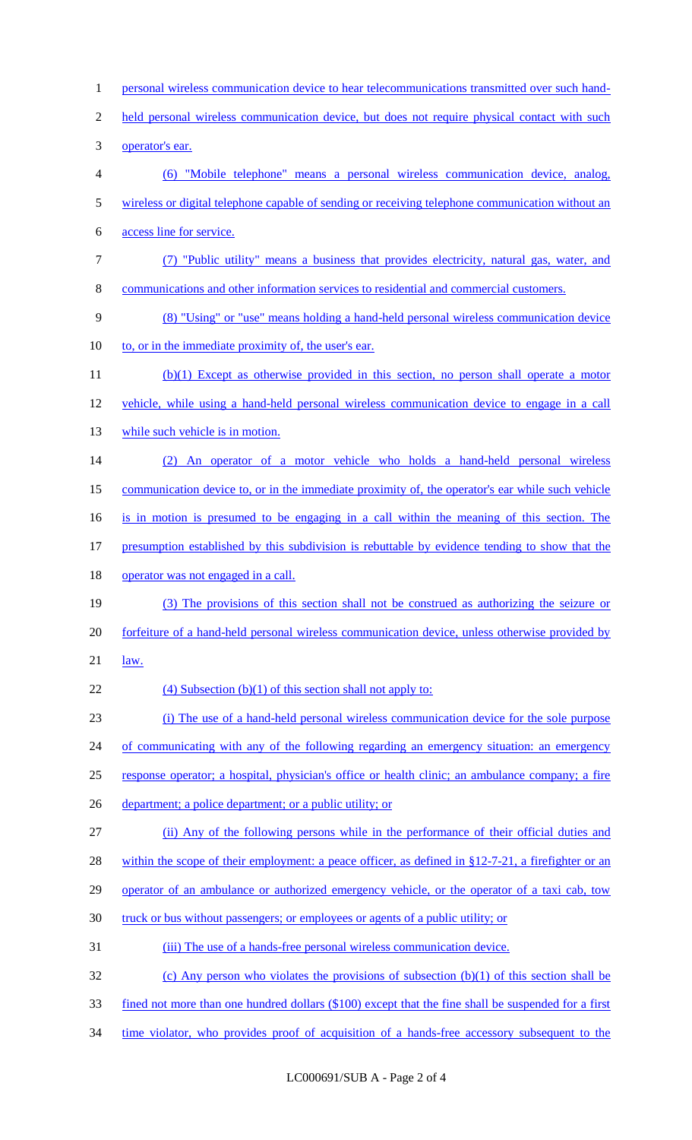1 personal wireless communication device to hear telecommunications transmitted over such hand-2 held personal wireless communication device, but does not require physical contact with such 3 operator's ear. 4 (6) "Mobile telephone" means a personal wireless communication device, analog, 5 wireless or digital telephone capable of sending or receiving telephone communication without an 6 access line for service. 7 (7) "Public utility" means a business that provides electricity, natural gas, water, and 8 communications and other information services to residential and commercial customers. 9 (8) "Using" or "use" means holding a hand-held personal wireless communication device 10 to, or in the immediate proximity of, the user's ear. 11 (b)(1) Except as otherwise provided in this section, no person shall operate a motor 12 vehicle, while using a hand-held personal wireless communication device to engage in a call 13 while such vehicle is in motion. 14 (2) An operator of a motor vehicle who holds a hand-held personal wireless 15 communication device to, or in the immediate proximity of, the operator's ear while such vehicle 16 is in motion is presumed to be engaging in a call within the meaning of this section. The 17 presumption established by this subdivision is rebuttable by evidence tending to show that the 18 operator was not engaged in a call. 19 (3) The provisions of this section shall not be construed as authorizing the seizure or 20 forfeiture of a hand-held personal wireless communication device, unless otherwise provided by 21 law. 22 (4) Subsection  $(b)(1)$  of this section shall not apply to: 23 (i) The use of a hand-held personal wireless communication device for the sole purpose 24 of communicating with any of the following regarding an emergency situation: an emergency 25 response operator; a hospital, physician's office or health clinic; an ambulance company; a fire 26 department; a police department; or a public utility; or 27 (ii) Any of the following persons while in the performance of their official duties and 28 within the scope of their employment: a peace officer, as defined in §12-7-21, a firefighter or an 29 operator of an ambulance or authorized emergency vehicle, or the operator of a taxi cab, tow 30 truck or bus without passengers; or employees or agents of a public utility; or 31 (iii) The use of a hands-free personal wireless communication device. 32 (c) Any person who violates the provisions of subsection (b)(1) of this section shall be 33 fined not more than one hundred dollars (\$100) except that the fine shall be suspended for a first 34 time violator, who provides proof of acquisition of a hands-free accessory subsequent to the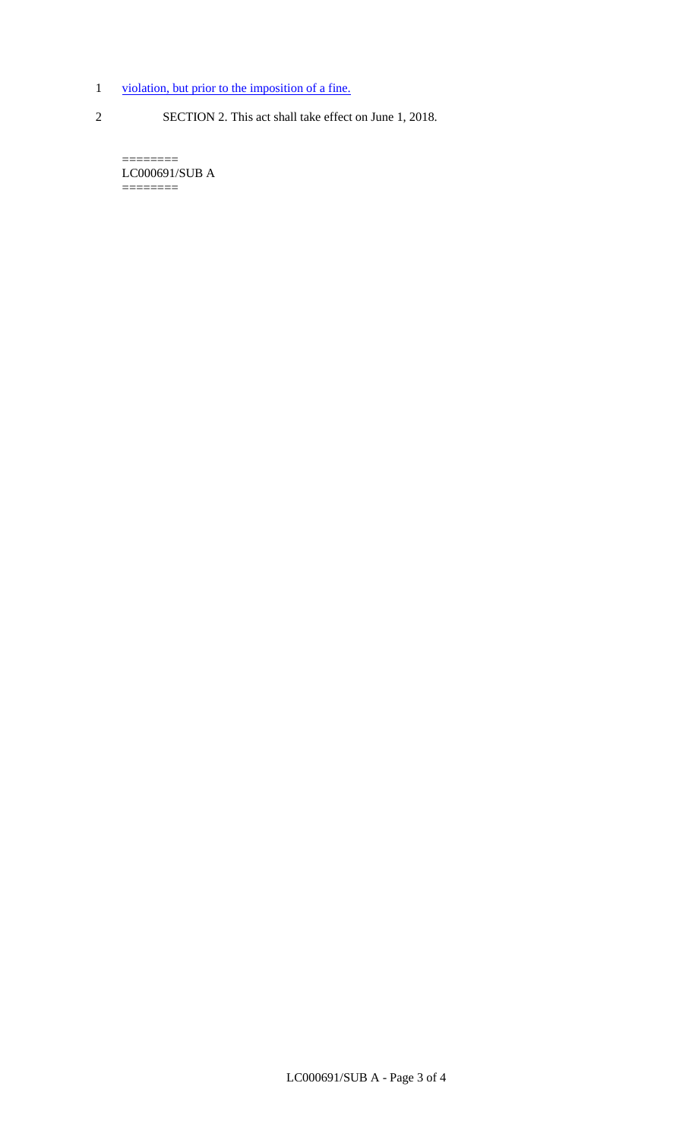- 1 violation, but prior to the imposition of a fine.
- 
- 2 SECTION 2. This act shall take effect on June 1, 2018.

======== LC000691/SUB A ========